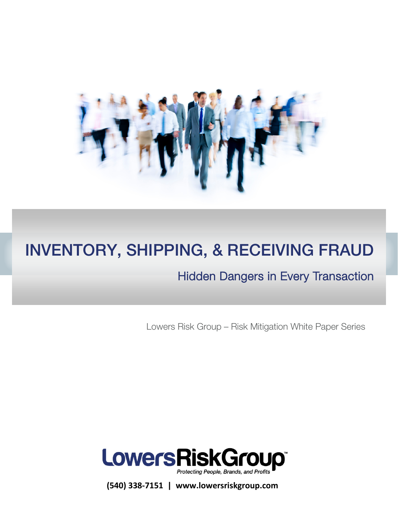

# INVENTORY, SHIPPING, & RECEIVING FRAUD

# Hidden Dangers in Every Transaction

Lowers Risk Group – Risk Mitigation White Paper Series



**(540) 338-7151 | www.lowersriskgroup.com**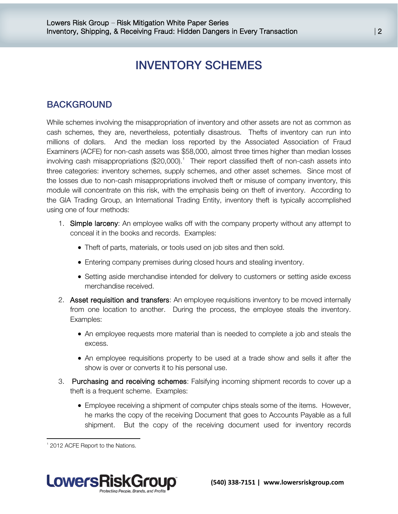# INVENTORY SCHEMES

## **BACKGROUND**

While schemes involving the misappropriation of inventory and other assets are not as common as cash schemes, they are, nevertheless, potentially disastrous. Thefts of inventory can run into millions of dollars. And the median loss reported by the Associated Association of Fraud Examiners (ACFE) for non-cash assets was \$58,000, almost three times higher than median losses involving cash misappropriations  $(\$20,000).$ <sup>[1](#page-1-0)</sup> Their report classified theft of non-cash assets into three categories: inventory schemes, supply schemes, and other asset schemes. Since most of the losses due to non-cash misappropriations involved theft or misuse of company inventory, this module will concentrate on this risk, with the emphasis being on theft of inventory. According to the GIA Trading Group, an International Trading Entity, inventory theft is typically accomplished using one of four methods:

- 1. Simple larceny: An employee walks off with the company property without any attempt to conceal it in the books and records. Examples:
	- Theft of parts, materials, or tools used on job sites and then sold.
	- Entering company premises during closed hours and stealing inventory.
	- Setting aside merchandise intended for delivery to customers or setting aside excess merchandise received.
- 2. Asset requisition and transfers: An employee requisitions inventory to be moved internally from one location to another. During the process, the employee steals the inventory. Examples:
	- An employee requests more material than is needed to complete a job and steals the excess.
	- An employee requisitions property to be used at a trade show and sells it after the show is over or converts it to his personal use.
- 3. Purchasing and receiving schemes: Falsifying incoming shipment records to cover up a theft is a frequent scheme. Examples:
	- Employee receiving a shipment of computer chips steals some of the items. However, he marks the copy of the receiving Document that goes to Accounts Payable as a full shipment. But the copy of the receiving document used for inventory records

 $\overline{\phantom{a}}$ 



<span id="page-1-0"></span><sup>&</sup>lt;sup>1</sup> 2012 ACFE Report to the Nations.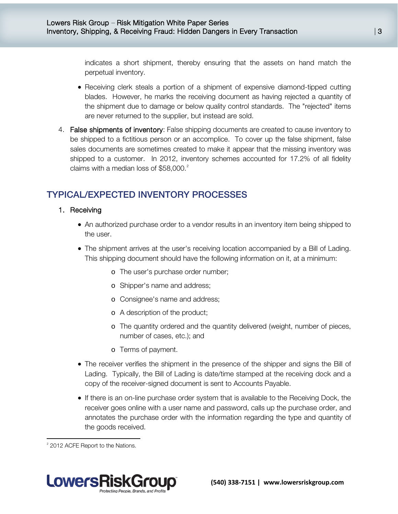indicates a short shipment, thereby ensuring that the assets on hand match the perpetual inventory.

- Receiving clerk steals a portion of a shipment of expensive diamond-tipped cutting blades. However, he marks the receiving document as having rejected a quantity of the shipment due to damage or below quality control standards. The "rejected" items are never returned to the supplier, but instead are sold.
- 4. False shipments of inventory: False shipping documents are created to cause inventory to be shipped to a fictitious person or an accomplice. To cover up the false shipment, false sales documents are sometimes created to make it appear that the missing inventory was shipped to a customer. In 2012, inventory schemes accounted for 17.2% of all fidelity claims with a median loss of  $$58,000.<sup>2</sup>$  $$58,000.<sup>2</sup>$  $$58,000.<sup>2</sup>$

# TYPICAL/EXPECTED INVENTORY PROCESSES

#### 1. Receiving

- An authorized purchase order to a vendor results in an inventory item being shipped to the user.
- The shipment arrives at the user's receiving location accompanied by a Bill of Lading. This shipping document should have the following information on it, at a minimum:
	- o The user's purchase order number;
	- o Shipper's name and address;
	- o Consignee's name and address;
	- o A description of the product;
	- o The quantity ordered and the quantity delivered (weight, number of pieces, number of cases, etc.); and
	- o Terms of payment.
- The receiver verifies the shipment in the presence of the shipper and signs the Bill of Lading. Typically, the Bill of Lading is date/time stamped at the receiving dock and a copy of the receiver-signed document is sent to Accounts Payable.
- If there is an on-line purchase order system that is available to the Receiving Dock, the receiver goes online with a user name and password, calls up the purchase order, and annotates the purchase order with the information regarding the type and quantity of the goods received.

 $\overline{\phantom{a}}$ 



<span id="page-2-0"></span> $2$  2012 ACFE Report to the Nations.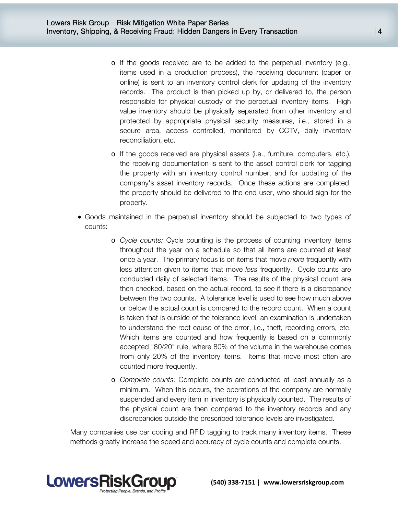- o If the goods received are to be added to the perpetual inventory (e.g., items used in a production process), the receiving document (paper or online) is sent to an inventory control clerk for updating of the inventory records. The product is then picked up by, or delivered to, the person responsible for physical custody of the perpetual inventory items. High value inventory should be physically separated from other inventory and protected by appropriate physical security measures, i.e., stored in a secure area, access controlled, monitored by CCTV, daily inventory reconciliation, etc.
- o If the goods received are physical assets (i.e., furniture, computers, etc.), the receiving documentation is sent to the asset control clerk for tagging the property with an inventory control number, and for updating of the company's asset inventory records. Once these actions are completed, the property should be delivered to the end user, who should sign for the property.
- Goods maintained in the perpetual inventory should be subjected to two types of counts:
	- o *Cycle counts:* Cycle counting is the process of counting inventory items throughout the year on a schedule so that all items are counted at least once a year. The primary focus is on items that move *more* frequently with less attention given to items that move *less* frequently. Cycle counts are conducted daily of selected items. The results of the physical count are then checked, based on the actual record, to see if there is a discrepancy between the two counts. A tolerance level is used to see how much above or below the actual count is compared to the record count. When a count is taken that is outside of the tolerance level, an examination is undertaken to understand the root cause of the error, i.e., theft, recording errors, etc. Which items are counted and how frequently is based on a commonly accepted "80/20" rule, where 80% of the volume in the warehouse comes from only 20% of the inventory items. Items that move most often are counted more frequently.
	- o *Complete counts:* Complete counts are conducted at least annually as a minimum. When this occurs, the operations of the company are normally suspended and every item in inventory is physically counted. The results of the physical count are then compared to the inventory records and any discrepancies outside the prescribed tolerance levels are investigated.

Many companies use bar coding and RFID tagging to track many inventory items. These methods greatly increase the speed and accuracy of cycle counts and complete counts.

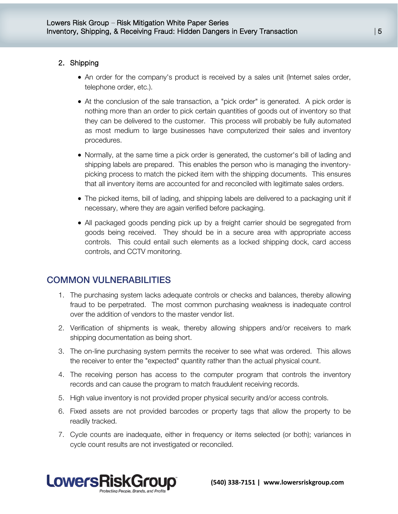#### 2. Shipping

- An order for the company's product is received by a sales unit (Internet sales order, telephone order, etc.).
- At the conclusion of the sale transaction, a "pick order" is generated. A pick order is nothing more than an order to pick certain quantities of goods out of inventory so that they can be delivered to the customer. This process will probably be fully automated as most medium to large businesses have computerized their sales and inventory procedures.
- Normally, at the same time a pick order is generated, the customer's bill of lading and shipping labels are prepared. This enables the person who is managing the inventorypicking process to match the picked item with the shipping documents. This ensures that all inventory items are accounted for and reconciled with legitimate sales orders.
- The picked items, bill of lading, and shipping labels are delivered to a packaging unit if necessary, where they are again verified before packaging.
- All packaged goods pending pick up by a freight carrier should be segregated from goods being received. They should be in a secure area with appropriate access controls. This could entail such elements as a locked shipping dock, card access controls, and CCTV monitoring.

# COMMON VULNERABILITIES

- 1. The purchasing system lacks adequate controls or checks and balances, thereby allowing fraud to be perpetrated. The most common purchasing weakness is inadequate control over the addition of vendors to the master vendor list.
- 2. Verification of shipments is weak, thereby allowing shippers and/or receivers to mark shipping documentation as being short.
- 3. The on-line purchasing system permits the receiver to see what was ordered. This allows the receiver to enter the "expected" quantity rather than the actual physical count.
- 4. The receiving person has access to the computer program that controls the inventory records and can cause the program to match fraudulent receiving records.
- 5. High value inventory is not provided proper physical security and/or access controls.
- 6. Fixed assets are not provided barcodes or property tags that allow the property to be readily tracked.
- 7. Cycle counts are inadequate, either in frequency or items selected (or both); variances in cycle count results are not investigated or reconciled.

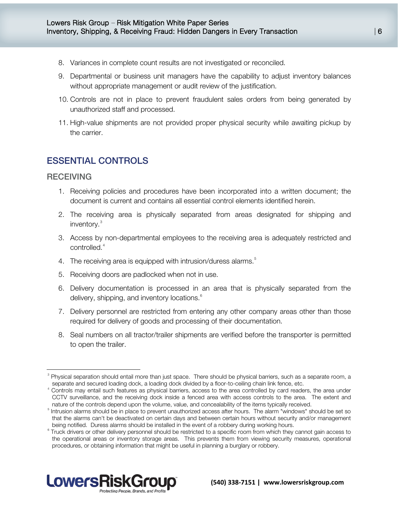- 8. Variances in complete count results are not investigated or reconciled.
- 9. Departmental or business unit managers have the capability to adjust inventory balances without appropriate management or audit review of the justification.
- 10. Controls are not in place to prevent fraudulent sales orders from being generated by unauthorized staff and processed.
- 11. High-value shipments are not provided proper physical security while awaiting pickup by the carrier.

# ESSENTIAL CONTROLS

#### **RECEIVING**

l

- 1. Receiving policies and procedures have been incorporated into a written document; the document is current and contains all essential control elements identified herein.
- 2. The receiving area is physically separated from areas designated for shipping and inventory.<sup>[3](#page-5-0)</sup>
- 3. Access by non-departmental employees to the receiving area is adequately restricted and controlled.<sup>[4](#page-5-1)</sup>
- 4. The receiving area is equipped with intrusion/duress alarms.<sup>[5](#page-5-2)</sup>
- 5. Receiving doors are padlocked when not in use.
- 6. Delivery documentation is processed in an area that is physically separated from the delivery, shipping, and inventory locations.<sup>[6](#page-5-3)</sup>
- 7. Delivery personnel are restricted from entering any other company areas other than those required for delivery of goods and processing of their documentation.
- 8. Seal numbers on all tractor/trailer shipments are verified before the transporter is permitted to open the trailer.

<span id="page-5-3"></span><span id="page-5-2"></span><sup>&</sup>lt;sup>6</sup> Truck drivers or other delivery personnel should be restricted to a specific room from which they cannot gain access to the operational areas or inventory storage areas. This prevents them from viewing security measures, operational procedures, or obtaining information that might be useful in planning a burglary or robbery.



<span id="page-5-0"></span><sup>&</sup>lt;sup>3</sup> Physical separation should entail more than just space. There should be physical barriers, such as a separate room, a separate and secured loading dock, a loading dock divided by a floor-to-ceiling chain link fence, etc.

<span id="page-5-1"></span><sup>&</sup>lt;sup>4</sup> Controls may entail such features as physical barriers, access to the area controlled by card readers, the area under CCTV surveillance, and the receiving dock inside a fenced area with access controls to the area. The extent and nature of the controls depend upon the volume, value, and concealability of the items typically received.

<sup>&</sup>lt;sup>5</sup> Intrusion alarms should be in place to prevent unauthorized access after hours. The alarm "windows" should be set so that the alarms can't be deactivated on certain days and between certain hours without security and/or management being notified. Duress alarms should be installed in the event of a robbery during working hours.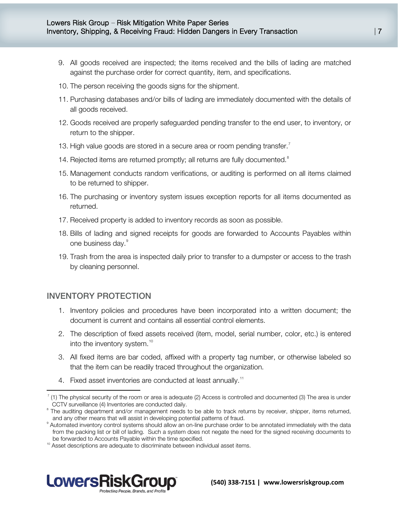- 9. All goods received are inspected; the items received and the bills of lading are matched against the purchase order for correct quantity, item, and specifications.
- 10. The person receiving the goods signs for the shipment.
- 11. Purchasing databases and/or bills of lading are immediately documented with the details of all goods received.
- 12. Goods received are properly safeguarded pending transfer to the end user, to inventory, or return to the shipper.
- 13. High value goods are stored in a secure area or room pending transfer.<sup>[7](#page-6-0)</sup>
- 14. Rejected items are returned promptly; all returns are fully documented.<sup>[8](#page-6-1)</sup>
- 15. Management conducts random verifications, or auditing is performed on all items claimed to be returned to shipper.
- 16. The purchasing or inventory system issues exception reports for all items documented as returned.
- 17. Received property is added to inventory records as soon as possible.
- 18. Bills of lading and signed receipts for goods are forwarded to Accounts Payables within one business day.<sup>[9](#page-6-2)</sup>
- 19. Trash from the area is inspected daily prior to transfer to a dumpster or access to the trash by cleaning personnel.

#### INVENTORY PROTECTION

<span id="page-6-4"></span>l

- 1. Inventory policies and procedures have been incorporated into a written document; the document is current and contains all essential control elements.
- 2. The description of fixed assets received (item, model, serial number, color, etc.) is entered into the inventory system.<sup>[10](#page-6-3)</sup>
- 3. All fixed items are bar coded, affixed with a property tag number, or otherwise labeled so that the item can be readily traced throughout the organization.
- 4. Fixed asset inventories are conducted at least annually.<sup>[11](#page-6-4)</sup>

<span id="page-6-3"></span><span id="page-6-2"></span><sup>&</sup>lt;sup>10</sup> Asset descriptions are adequate to discriminate between individual asset items.



<span id="page-6-0"></span><sup>7</sup> (1) The physical security of the room or area is adequate (2) Access is controlled and documented (3) The area is under CCTV surveillance (4) Inventories are conducted daily.

<span id="page-6-1"></span><sup>&</sup>lt;sup>8</sup> The auditing department and/or management needs to be able to track returns by receiver, shipper, items returned, and any other means that will assist in developing potential patterns of fraud.

<sup>&</sup>lt;sup>9</sup> Automated inventory control systems should allow an on-line purchase order to be annotated immediately with the data from the packing list or bill of lading. Such a system does not negate the need for the signed receiving documents to be forwarded to Accounts Payable within the time specified.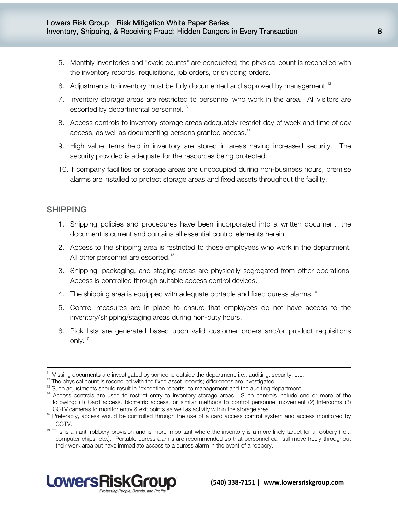- 5. Monthly inventories and "cycle counts" are conducted; the physical count is reconciled with the inventory records, requisitions, job orders, or shipping orders.
- 6. Adjustments to inventory must be fully documented and approved by management.<sup>[12](#page-7-0)</sup>
- 7. Inventory storage areas are restricted to personnel who work in the area. All visitors are escorted by departmental personnel.<sup>[13](#page-7-1)</sup>
- 8. Access controls to inventory storage areas adequately restrict day of week and time of day access, as well as documenting persons granted access.<sup>[14](#page-7-2)</sup>
- 9. High value items held in inventory are stored in areas having increased security. The security provided is adequate for the resources being protected.
- 10. If company facilities or storage areas are unoccupied during non-business hours, premise alarms are installed to protect storage areas and fixed assets throughout the facility.

#### SHIPPING

 $\overline{\phantom{a}}$ 

- 1. Shipping policies and procedures have been incorporated into a written document; the document is current and contains all essential control elements herein.
- 2. Access to the shipping area is restricted to those employees who work in the department. All other personnel are escorted.<sup>[15](#page-7-3)</sup>
- 3. Shipping, packaging, and staging areas are physically segregated from other operations. Access is controlled through suitable access control devices.
- 4. The shipping area is equipped with adequate portable and fixed duress alarms.<sup>[16](#page-7-4)</sup>
- 5. Control measures are in place to ensure that employees do not have access to the inventory/shipping/staging areas during non-duty hours.
- 6. Pick lists are generated based upon valid customer orders and/or product requisitions only.<sup>[17](#page-7-5)</sup>

<span id="page-7-4"></span><span id="page-7-3"></span>CCTV.<br><sup>16</sup> This is an anti-robbery provision and is more important where the inventory is a more likely target for a robbery (i.e.., computer chips, etc.). Portable duress alarms are recommended so that personnel can still move freely throughout their work area but have immediate access to a duress alarm in the event of a robbery.



Missing documents are investigated by someone outside the department, i.e., auditing, security, etc.

<span id="page-7-0"></span> $12$  The physical count is reconciled with the fixed asset records; differences are investigated.

<span id="page-7-5"></span><span id="page-7-1"></span><sup>&</sup>lt;sup>13</sup> Such adjustments should result in "exception reports" to management and the auditing department.

<span id="page-7-2"></span><sup>&</sup>lt;sup>14</sup> Access controls are used to restrict entry to inventory storage areas. Such controls include one or more of the following: (1) Card access, biometric access, or similar methods to control personnel movement (2) Intercoms (3) CCTV cameras to monitor entry & exit points as well as activity within the storage area.

<sup>&</sup>lt;sup>15</sup> Preferably, access would be controlled through the use of a card access control system and access monitored by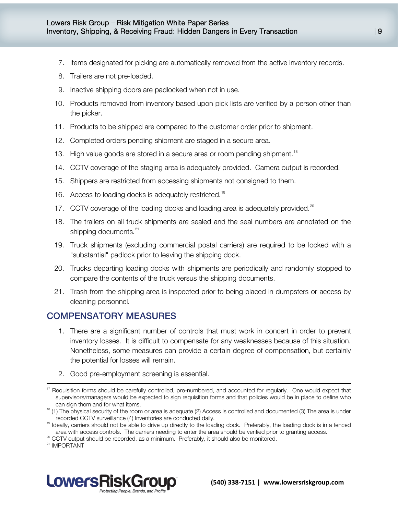- 7. Items designated for picking are automatically removed from the active inventory records.
- 8. Trailers are not pre-loaded.
- 9. Inactive shipping doors are padlocked when not in use.
- 10. Products removed from inventory based upon pick lists are verified by a person other than the picker.
- 11. Products to be shipped are compared to the customer order prior to shipment.
- 12. Completed orders pending shipment are staged in a secure area.
- 13. High value goods are stored in a secure area or room pending shipment.<sup>[18](#page-8-0)</sup>
- 14. CCTV coverage of the staging area is adequately provided. Camera output is recorded.
- 15. Shippers are restricted from accessing shipments not consigned to them.
- 16. Access to loading docks is adequately restricted.<sup>[19](#page-8-1)</sup>
- 17. CCTV coverage of the loading docks and loading area is adequately provided.<sup>[20](#page-8-2)</sup>
- 18. The trailers on all truck shipments are sealed and the seal numbers are annotated on the shipping documents.<sup>[21](#page-8-3)</sup>
- 19. Truck shipments (excluding commercial postal carriers) are required to be locked with a "substantial" padlock prior to leaving the shipping dock.
- 20. Trucks departing loading docks with shipments are periodically and randomly stopped to compare the contents of the truck versus the shipping documents.
- 21. Trash from the shipping area is inspected prior to being placed in dumpsters or access by cleaning personnel.

### COMPENSATORY MEASURES

- 1. There are a significant number of controls that must work in concert in order to prevent inventory losses. It is difficult to compensate for any weaknesses because of this situation. Nonetheless, some measures can provide a certain degree of compensation, but certainly the potential for losses will remain.
- 2. Good pre-employment screening is essential.

<span id="page-8-2"></span><sup>20</sup> CCTV output should be recorded, as a minimum. Preferably, it should also be monitored.

<span id="page-8-3"></span><sup>21</sup> IMPORTANT

l



 $17$  Requisition forms should be carefully controlled, pre-numbered, and accounted for regularly. One would expect that supervisors/managers would be expected to sign requisition forms and that policies would be in place to define who can sign them and for what items.

<span id="page-8-0"></span><sup>&</sup>lt;sup>18</sup> (1) The physical security of the room or area is adequate (2) Access is controlled and documented (3) The area is under recorded CCTV surveillance (4) Inventories are conducted daily.

<span id="page-8-1"></span><sup>&</sup>lt;sup>19</sup> Ideally, carriers should not be able to drive up directly to the loading dock. Preferably, the loading dock is in a fenced area with access controls. The carriers needing to enter the area should be verified prior to granting access.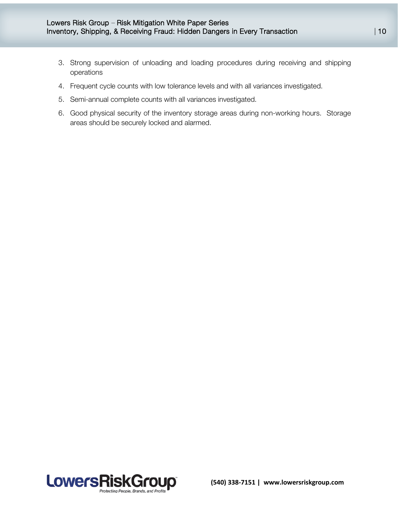- 3. Strong supervision of unloading and loading procedures during receiving and shipping operations
- 4. Frequent cycle counts with low tolerance levels and with all variances investigated.
- 5. Semi-annual complete counts with all variances investigated.
- 6. Good physical security of the inventory storage areas during non-working hours. Storage areas should be securely locked and alarmed.

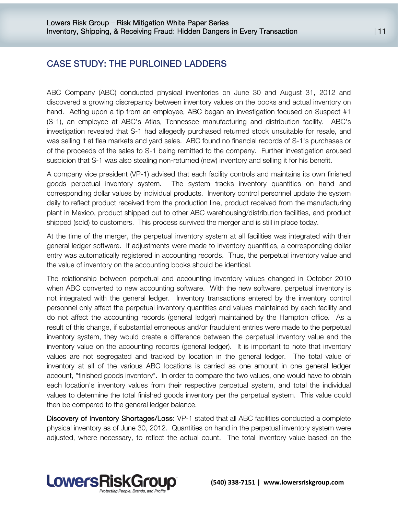# CASE STUDY: THE PURLOINED LADDERS

ABC Company (ABC) conducted physical inventories on June 30 and August 31, 2012 and discovered a growing discrepancy between inventory values on the books and actual inventory on hand. Acting upon a tip from an employee, ABC began an investigation focused on Suspect #1 (S-1), an employee at ABC's Atlas, Tennessee manufacturing and distribution facility. ABC's investigation revealed that S-1 had allegedly purchased returned stock unsuitable for resale, and was selling it at flea markets and yard sales. ABC found no financial records of S-1's purchases or of the proceeds of the sales to S-1 being remitted to the company. Further investigation aroused suspicion that S-1 was also stealing non-returned (new) inventory and selling it for his benefit.

A company vice president (VP-1) advised that each facility controls and maintains its own finished goods perpetual inventory system. The system tracks inventory quantities on hand and corresponding dollar values by individual products. Inventory control personnel update the system daily to reflect product received from the production line, product received from the manufacturing plant in Mexico, product shipped out to other ABC warehousing/distribution facilities, and product shipped (sold) to customers. This process survived the merger and is still in place today.

At the time of the merger, the perpetual inventory system at all facilities was integrated with their general ledger software. If adjustments were made to inventory quantities, a corresponding dollar entry was automatically registered in accounting records. Thus, the perpetual inventory value and the value of inventory on the accounting books should be identical.

The relationship between perpetual and accounting inventory values changed in October 2010 when ABC converted to new accounting software. With the new software, perpetual inventory is not integrated with the general ledger. Inventory transactions entered by the inventory control personnel only affect the perpetual inventory quantities and values maintained by each facility and do not affect the accounting records (general ledger) maintained by the Hampton office. As a result of this change, if substantial erroneous and/or fraudulent entries were made to the perpetual inventory system, they would create a difference between the perpetual inventory value and the inventory value on the accounting records (general ledger). It is important to note that inventory values are not segregated and tracked by location in the general ledger. The total value of inventory at all of the various ABC locations is carried as one amount in one general ledger account, "finished goods inventory". In order to compare the two values, one would have to obtain each location's inventory values from their respective perpetual system, and total the individual values to determine the total finished goods inventory per the perpetual system. This value could then be compared to the general ledger balance.

Discovery of Inventory Shortages/Loss: VP-1 stated that all ABC facilities conducted a complete physical inventory as of June 30, 2012. Quantities on hand in the perpetual inventory system were adjusted, where necessary, to reflect the actual count. The total inventory value based on the

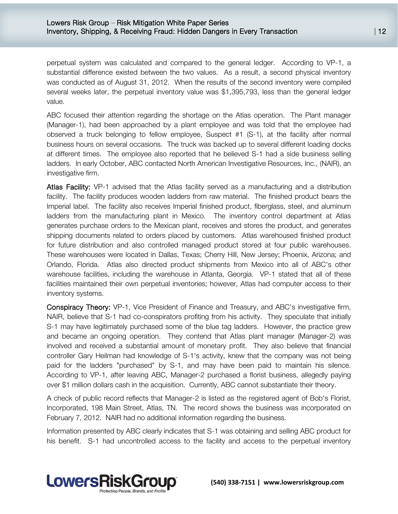perpetual system was calculated and compared to the general ledger. According to VP-1, a substantial difference existed between the two values. As a result, a second physical inventory was conducted as of August 31, 2012. When the results of the second inventory were compiled several weeks later, the perpetual inventory value was \$1,395,793, less than the general ledger value.

ABC focused their attention regarding the shortage on the Atlas operation. The Plant manager (Manager-1), had been approached by a plant employee and was told that the employee had observed a truck belonging to fellow employee, Suspect #1 (S-1), at the facility after normal business hours on several occasions. The truck was backed up to several different loading docks at different times. The employee also reported that he believed S-1 had a side business selling ladders. In early October, ABC contacted North American Investigative Resources, Inc., (NAIR), an investigative firm.

Atlas Facility: VP-1 advised that the Atlas facility served as a manufacturing and a distribution facility. The facility produces wooden ladders from raw material. The finished product bears the Imperial label. The facility also receives Imperial finished product, fiberglass, steel, and aluminum ladders from the manufacturing plant in Mexico. The inventory control department at Atlas generates purchase orders to the Mexican plant, receives and stores the product, and generates shipping documents related to orders placed by customers. Atlas warehoused finished product for future distribution and also controlled managed product stored at four public warehouses. These warehouses were located in Dallas, Texas; Cherry Hill, New Jersey; Phoenix, Arizona; and Orlando, Florida. Atlas also directed product shipments from Mexico into all of ABC's other warehouse facilities, including the warehouse in Atlanta, Georgia. VP-1 stated that all of these facilities maintained their own perpetual inventories; however, Atlas had computer access to their inventory systems.

Conspiracy Theory: VP-1, Vice President of Finance and Treasury, and ABC's investigative firm, NAIR, believe that S-1 had co-conspirators profiting from his activity. They speculate that initially S-1 may have legitimately purchased some of the blue tag ladders. However, the practice grew and became an ongoing operation. They contend that Atlas plant manager (Manager-2) was involved and received a substantial amount of monetary profit. They also believe that financial controller Gary Heilman had knowledge of S-1's activity, knew that the company was not being paid for the ladders "purchased" by S-1, and may have been paid to maintain his silence. According to VP-1, after leaving ABC, Manager-2 purchased a florist business, allegedly paying over \$1 million dollars cash in the acquisition. Currently, ABC cannot substantiate their theory.

A check of public record reflects that Manager-2 is listed as the registered agent of Bob's Florist, Incorporated, 198 Main Street, Atlas, TN. The record shows the business was incorporated on February 7, 2012. NAIR had no additional information regarding the business.

Information presented by ABC clearly indicates that S-1 was obtaining and selling ABC product for his benefit. S-1 had uncontrolled access to the facility and access to the perpetual inventory

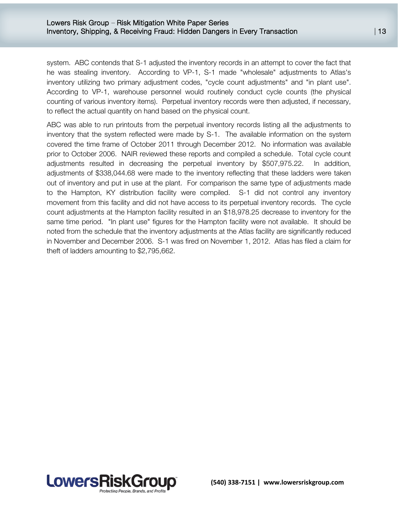system. ABC contends that S-1 adjusted the inventory records in an attempt to cover the fact that he was stealing inventory. According to VP-1, S-1 made "wholesale" adjustments to Atlas's inventory utilizing two primary adjustment codes, "cycle count adjustments" and "in plant use". According to VP-1, warehouse personnel would routinely conduct cycle counts (the physical counting of various inventory items). Perpetual inventory records were then adjusted, if necessary, to reflect the actual quantity on hand based on the physical count.

ABC was able to run printouts from the perpetual inventory records listing all the adjustments to inventory that the system reflected were made by S-1. The available information on the system covered the time frame of October 2011 through December 2012. No information was available prior to October 2006. NAIR reviewed these reports and compiled a schedule. Total cycle count adjustments resulted in decreasing the perpetual inventory by \$507,975.22. In addition, adjustments of \$338,044.68 were made to the inventory reflecting that these ladders were taken out of inventory and put in use at the plant. For comparison the same type of adjustments made to the Hampton, KY distribution facility were compiled. S-1 did not control any inventory movement from this facility and did not have access to its perpetual inventory records. The cycle count adjustments at the Hampton facility resulted in an \$18,978.25 decrease to inventory for the same time period. "In plant use" figures for the Hampton facility were not available. It should be noted from the schedule that the inventory adjustments at the Atlas facility are significantly reduced in November and December 2006. S-1 was fired on November 1, 2012. Atlas has filed a claim for theft of ladders amounting to \$2,795,662.